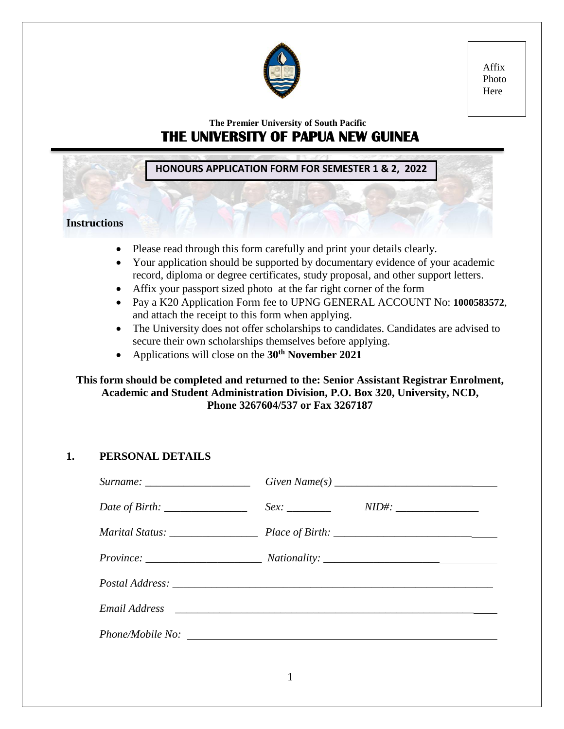

Affix Photo Here

# **The Premier University of South Pacific THE UNIVERSITY OF PAPUA NEW GUINEA**

**HONOURS APPLICATION FORM FOR SEMESTER 1 & 2, 2022**

## **Instructions**

- Please read through this form carefully and print your details clearly.
- Your application should be supported by documentary evidence of your academic record, diploma or degree certificates, study proposal, and other support letters.
- Affix your passport sized photo at the far right corner of the form
- Pay a K20 Application Form fee to UPNG GENERAL ACCOUNT No: **1000583572**, and attach the receipt to this form when applying.
- The University does not offer scholarships to candidates. Candidates are advised to secure their own scholarships themselves before applying.
- Applications will close on the **30th November 2021**

**This form should be completed and returned to the: Senior Assistant Registrar Enrolment, Academic and Student Administration Division, P.O. Box 320, University, NCD, Phone 3267604/537 or Fax 3267187**

# **1. PERSONAL DETAILS**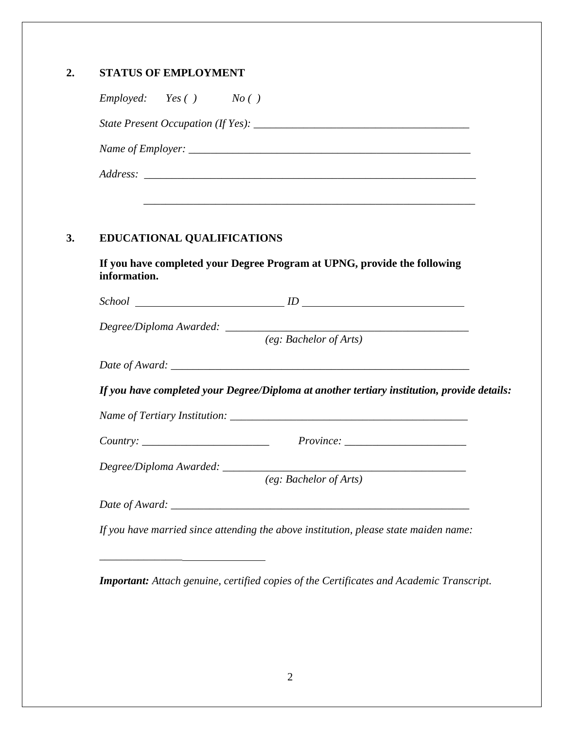|              | Employee: Yes() No()                                                                        |
|--------------|---------------------------------------------------------------------------------------------|
|              |                                                                                             |
|              |                                                                                             |
|              |                                                                                             |
|              |                                                                                             |
|              |                                                                                             |
|              |                                                                                             |
|              | <b>EDUCATIONAL QUALIFICATIONS</b>                                                           |
| information. | If you have completed your Degree Program at UPNG, provide the following                    |
|              | $\emph{School}$ $ID$ $ID$                                                                   |
|              | Degree/Diploma Awarded: ________                                                            |
|              | (eg: Bachelor of $\overline{Arts}$ )                                                        |
|              |                                                                                             |
|              | If you have completed your Degree/Diploma at another tertiary institution, provide details: |
|              |                                                                                             |
|              |                                                                                             |
|              |                                                                                             |
|              | (eg: Bachelor of Arts)                                                                      |
|              |                                                                                             |
|              |                                                                                             |

*Important: Attach genuine, certified copies of the Certificates and Academic Transcript.*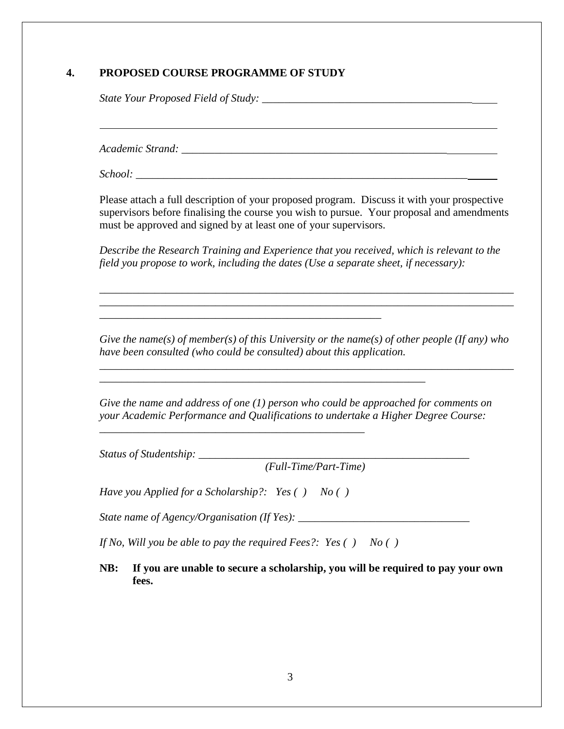#### **4. PROPOSED COURSE PROGRAMME OF STUDY**

*State Your Proposed Field of Study: \_\_\_\_\_\_\_\_\_\_\_\_\_\_\_\_\_\_\_\_\_\_\_\_\_\_\_\_\_\_\_\_\_\_\_\_\_\_*

*Academic Strand: \_\_\_\_\_\_\_\_\_\_\_\_\_\_\_\_\_\_\_\_\_\_\_\_\_\_\_\_\_\_\_\_\_\_\_\_\_\_\_\_\_\_\_\_\_\_\_\_*

*School: \_\_\_\_\_\_\_\_\_\_\_\_\_\_\_\_\_\_\_\_\_\_\_\_\_\_\_\_\_\_\_\_\_\_\_\_\_\_\_\_\_\_\_\_\_\_\_\_\_\_\_\_\_\_\_\_\_\_\_\_*

Please attach a full description of your proposed program. Discuss it with your prospective supervisors before finalising the course you wish to pursue. Your proposal and amendments must be approved and signed by at least one of your supervisors.

*Describe the Research Training and Experience that you received, which is relevant to the field you propose to work, including the dates (Use a separate sheet, if necessary):*

*\_\_\_\_\_\_\_\_\_\_\_\_\_\_\_\_\_\_\_\_\_\_\_\_\_\_\_\_\_\_\_\_\_\_\_\_\_\_\_\_\_\_\_\_\_\_\_\_\_\_\_\_\_\_\_\_\_\_\_\_\_\_\_\_\_\_\_\_\_\_\_\_\_\_\_ \_\_\_\_\_\_\_\_\_\_\_\_\_\_\_\_\_\_\_\_\_\_\_\_\_\_\_\_\_\_\_\_\_\_\_\_\_\_\_\_\_\_\_\_\_\_\_\_\_\_\_\_\_\_\_\_\_\_\_\_\_\_\_\_\_\_\_\_\_\_\_\_\_\_\_*

*Give the name(s) of member(s) of this University or the name(s) of other people (If any) who have been consulted (who could be consulted) about this application.*

*\_\_\_\_\_\_\_\_\_\_\_\_\_\_\_\_\_\_\_\_\_\_\_\_\_\_\_\_\_\_\_\_\_\_\_\_\_\_\_\_\_\_\_\_\_\_\_\_\_\_\_\_\_\_\_\_\_\_\_\_\_\_\_\_\_\_\_\_\_\_\_\_\_\_\_*

*Give the name and address of one (1) person who could be approached for comments on your Academic Performance and Qualifications to undertake a Higher Degree Course:* 

*Status of Studentship: \_\_\_\_\_\_\_\_\_\_\_\_\_\_\_\_\_\_\_\_\_\_\_\_\_\_\_\_\_\_\_\_\_\_\_\_\_\_\_\_\_\_\_\_\_\_\_\_\_*

*(Full-Time/Part-Time)*

*Have you Applied for a Scholarship?: Yes ( ) No ( )*

*\_\_\_\_\_\_\_\_\_\_\_\_\_\_\_\_\_\_\_\_\_\_\_\_\_\_\_\_\_\_\_\_\_\_\_\_\_\_\_\_\_\_\_\_\_\_\_\_*

*\_\_\_\_\_\_\_\_\_\_\_\_\_\_\_\_\_\_\_\_\_\_\_\_\_\_\_\_\_\_\_\_\_\_\_\_\_\_\_\_\_\_\_\_\_\_\_\_\_\_\_*

*State name of Agency/Organisation (If Yes): \_\_\_\_\_\_\_\_\_\_\_\_\_\_\_\_\_\_\_\_\_\_\_\_\_\_\_\_\_\_\_*

*\_\_\_\_\_\_\_\_\_\_\_\_\_\_\_\_\_\_\_\_\_\_\_\_\_\_\_\_\_\_\_\_\_\_\_\_\_\_\_\_\_\_\_\_\_\_\_\_\_\_\_\_\_\_\_\_\_\_\_*

*If No, Will you be able to pay the required Fees?: Yes ( ) No ( )*

**NB: If you are unable to secure a scholarship, you will be required to pay your own fees.**